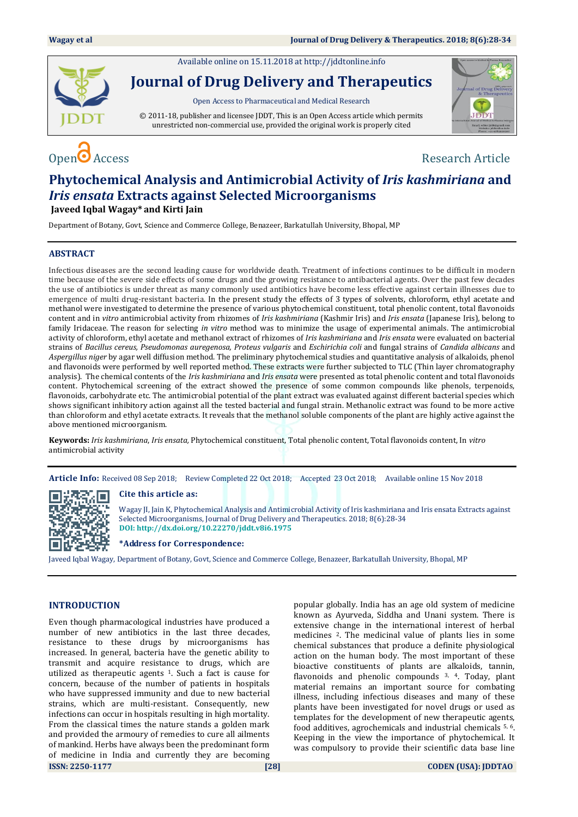Available online on 15.11.2018 a[t http://jddtonline.info](http://jddtonline.info/)



**Journal of Drug Delivery and Therapeutics**

Open Access to Pharmaceutical and Medical Research

© 2011-18, publisher and licensee JDDT, This is an Open Access article which permits unrestricted non-commercial use, provided the original work is properly cited



# Open  $\bullet$  Access Research Article

### **Phytochemical Analysis and Antimicrobial Activity of** *Iris kashmiriana* **and**  *Iris ensata* **Extracts against Selected Microorganisms Javeed Iqbal Wagay\* and Kirti Jain**

Department of Botany, Govt, Science and Commerce College, Benazeer, Barkatullah University, Bhopal, MP

#### **ABSTRACT**

Infectious diseases are the second leading cause for worldwide death. Treatment of infections continues to be difficult in modern time because of the severe side effects of some drugs and the growing resistance to antibacterial agents. Over the past few decades the use of antibiotics is under threat as many commonly used antibiotics have become less effective against certain illnesses due to emergence of multi drug-resistant bacteria. In the present study the effects of 3 types of solvents, chloroform, ethyl acetate and methanol were investigated to determine the presence of various phytochemical constituent, total phenolic content, total flavonoids content and in *vitro* antimicrobial activity from rhizomes of *Iris kashmiriana* (Kashmir Iris) and *Iris ensata* (Japanese Iris)*,* belong to family Iridaceae. The reason for selecting *in vitro* method was to minimize the usage of experimental animals. The antimicrobial activity of chloroform, ethyl acetate and methanol extract of rhizomes of *Iris kashmiriana* and *Iris ensata* were evaluated on bacterial strains of *Bacillus cereus, Pseudomonas auregenosa, Proteus vulgaris* and *Eschirichia coli* and fungal strains of *Candida albicans* and *Aspergillus niger* by agar well diffusion method. The preliminary phytochemical studies and quantitative analysis of alkaloids, phenol and flavonoids were performed by well reported method. These extracts were further subjected to TLC (Thin layer chromatography analysis). The chemical contents of the *Iris kashmiriana* and *Iris ensata* were presented as total phenolic content and total flavonoids content. Phytochemical screening of the extract showed the presence of some common compounds like phenols, terpenoids, flavonoids, carbohydrate etc. The antimicrobial potential of the plant extract was evaluated against different bacterial species which shows significant inhibitory action against all the tested bacterial and fungal strain. Methanolic extract was found to be more active than chloroform and ethyl acetate extracts*.* It reveals that the methanol soluble components of the plant are highly active against the above mentioned microorganism.

**Keywords:** *Iris kashmiriana*, *Iris ensata,* Phytochemical constituent, Total phenolic content, Total flavonoids content, In *vitro* antimicrobial activity

**Article Info:** Received 08 Sep 2018; Review Completed 22 Oct 2018; Accepted 23 Oct 2018; Available online 15 Nov 2018



#### **Cite this article as:**

Wagay JI, Jain K, Phytochemical Analysis and Antimicrobial Activity of Iris kashmiriana and Iris ensata Extracts against Selected Microorganisms, Journal of Drug Delivery and Therapeutics. 2018; 8(6):28-34 **DOI: <http://dx.doi.org/10.22270/jddt.v8i6.1975>**

**\*Address for Correspondence:** 

Javeed Iqbal Wagay, Department of Botany, Govt, Science and Commerce College, Benazeer, Barkatullah University, Bhopal, MP

#### **INTRODUCTION**

**ISSN: 2250-1177 [28] CODEN (USA): JDDTAO** Even though pharmacological industries have produced a number of new antibiotics in the last three decades, resistance to these drugs by microorganisms has increased. In general, bacteria have the genetic ability to transmit and acquire resistance to drugs, which are utilized as therapeutic agents 1. Such a fact is cause for concern, because of the number of patients in hospitals who have suppressed immunity and due to new bacterial strains, which are multi-resistant. Consequently, new infections can occur in hospitals resulting in high mortality. From the classical times the nature stands a golden mark and provided the armoury of remedies to cure all ailments of mankind. Herbs have always been the predominant form of medicine in India and currently they are becoming

popular globally. India has an age old system of medicine known as Ayurveda, Siddha and Unani system. There is extensive change in the international interest of herbal medicines 2. The medicinal value of plants lies in some chemical substances that produce a definite physiological action on the human body. The most important of these bioactive constituents of plants are alkaloids, tannin, flavonoids and phenolic compounds  $3, 4$ . Today, plant material remains an important source for combating illness, including infectious diseases and many of these plants have been investigated for novel drugs or used as templates for the development of new therapeutic agents, food additives, agrochemicals and industrial chemicals 5, 6. Keeping in the view the importance of phytochemical. It was compulsory to provide their scientific data base line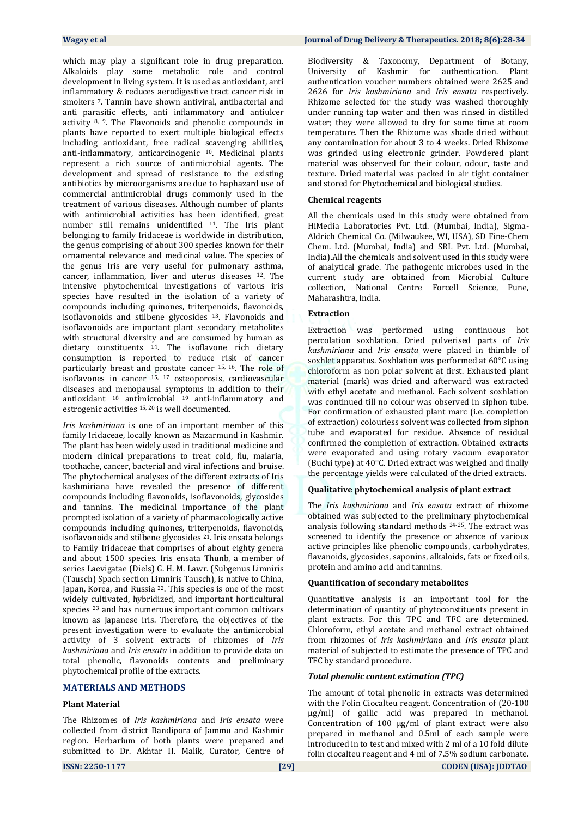which may play a significant role in drug preparation. Alkaloids play some metabolic role and control development in living system. It is used as antioxidant, anti inflammatory & reduces aerodigestive tract cancer risk in smokers 7. Tannin have shown antiviral, antibacterial and anti parasitic effects, anti inflammatory and antiulcer activity 8, 9. The Flavonoids and phenolic compounds in plants have reported to exert multiple biological effects including antioxidant, free radical scavenging abilities, anti-inflammatory, anticarcinogenic 10. Medicinal plants represent a rich source of antimicrobial agents. The development and spread of resistance to the existing antibiotics by microorganisms are due to haphazard use of commercial antimicrobial drugs commonly used in the treatment of various diseases. Although number of plants with antimicrobial activities has been identified, great number still remains unidentified 11. The Iris plant belonging to family Iridaceae is worldwide in distribution, the genus comprising of about 300 species known for their ornamental relevance and medicinal value. The species of the genus Iris are very useful for pulmonary asthma, cancer, inflammation, liver and uterus diseases <sup>12</sup>. The intensive phytochemical investigations of various iris species have resulted in the isolation of a variety of compounds including quinones, triterpenoids, flavonoids, isoflavonoids and stilbene glycosides <sup>13</sup>. Flavonoids and isoflavonoids are important plant secondary metabolites with structural diversity and are consumed by human as dietary constituents <sup>14</sup>. The isoflavone rich dietary consumption is reported to reduce risk of cancer particularly breast and prostate cancer 15, 16. The role of isoflavones in cancer 15, <sup>17</sup> osteoporosis, cardiovascular diseases and menopausal symptoms in addition to their antioxidant  $18$  antimicrobial  $19$  anti-inflammatory and estrogenic activities 15, 20 is well documented.

*Iris kashmiriana* is one of an important member of this family Iridaceae, locally known as Mazarmund in Kashmir. The plant has been widely used in traditional medicine and modern clinical preparations to treat cold, flu, malaria, toothache, cancer, bacterial and viral infections and bruise. The phytochemical analyses of the different extracts of Iris kashmiriana have revealed the presence of different compounds including flavonoids, isoflavonoids, glycosides and tannins. The medicinal importance of the plant prompted isolation of a variety of pharmacologically active compounds including quinones, triterpenoids, flavonoids, isoflavonoids and stilbene glycosides 21. Iris ensata belongs to Family Iridaceae that comprises of about eighty genera and about 1500 species. Iris ensata Thunb, a member of series Laevigatae (Diels) G. H. M. Lawr. (Subgenus Limniris (Tausch) Spach section Limniris Tausch), is native to China, Japan, Korea, and Russia <sup>22</sup>. This species is one of the most widely cultivated, hybridized, and important horticultural species <sup>23</sup> and has numerous important common cultivars known as Japanese iris. Therefore, the objectives of the present investigation were to evaluate the antimicrobial activity of 3 solvent extracts of rhizomes of *Iris kashmiriana* and *Iris ensata* in addition to provide data on total phenolic, flavonoids contents and preliminary phytochemical profile of the extracts.

#### **MATERIALS AND METHODS**

#### **Plant Material**

The Rhizomes of *Iris kashmiriana* and *Iris ensata* were collected from district Bandipora of Jammu and Kashmir region. Herbarium of both plants were prepared and submitted to Dr. Akhtar H. Malik, Curator, Centre of Biodiversity & Taxonomy, Department of Botany, University of Kashmir for authentication. Plant authentication voucher numbers obtained were 2625 and 2626 for *Iris kashmiriana* and *Iris ensata* respectively. Rhizome selected for the study was washed thoroughly under running tap water and then was rinsed in distilled water; they were allowed to dry for some time at room temperature. Then the Rhizome was shade dried without any contamination for about 3 to 4 weeks. Dried Rhizome was grinded using electronic grinder. Powdered plant material was observed for their colour, odour, taste and texture. Dried material was packed in air tight container and stored for Phytochemical and biological studies.

#### **Chemical reagents**

All the chemicals used in this study were obtained from HiMedia Laboratories Pvt. Ltd. (Mumbai, India), Sigma-Aldrich Chemical Co. (Milwaukee, WI, USA), SD Fine-Chem Chem. Ltd. (Mumbai, India) and SRL Pvt. Ltd. (Mumbai, India).All the chemicals and solvent used in this study were of analytical grade. The pathogenic microbes used in the current study are obtained from Microbial Culture collection, National Centre Forcell Science, Pune, Maharashtra, India.

#### **Extraction**

Extraction was performed using continuous hot percolation soxhlation. Dried pulverised parts of *Iris kashmiriana* and *Iris ensata* were placed in thimble of soxhlet apparatus. Soxhlation was performed at 60°C using chloroform as non polar solvent at first. Exhausted plant material (mark) was dried and afterward was extracted with ethyl acetate and methanol. Each solvent soxhlation was continued till no colour was observed in siphon tube. For confirmation of exhausted plant marc (i.e. completion of extraction) colourless solvent was collected from siphon tube and evaporated for residue. Absence of residual confirmed the completion of extraction. Obtained extracts were evaporated and using rotary vacuum evaporator (Buchi type) at 40°C. Dried extract was weighed and finally the percentage yields were calculated of the dried extracts.

#### **Qualitative phytochemical analysis of plant extract**

The *Iris kashmiriana* and *Iris ensata* extract of rhizome obtained was subjected to the preliminary phytochemical analysis following standard methods 24-25. The extract was screened to identify the presence or absence of various active principles like phenolic compounds, carbohydrates, flavanoids, glycosides, saponins, alkaloids, fats or fixed oils, protein and amino acid and tannins.

#### **Quantification of secondary metabolites**

Quantitative analysis is an important tool for the determination of quantity of phytoconstituents present in plant extracts. For this TPC and TFC are determined. Chloroform, ethyl acetate and methanol extract obtained from rhizomes of *Iris kashmiriana* and *Iris ensata* plant material of subjected to estimate the presence of TPC and TFC by standard procedure.

#### *Total phenolic content estimation (TPC)*

The amount of total phenolic in extracts was determined with the Folin Ciocalteu reagent. Concentration of (20-100 μg/ml) of gallic acid was prepared in methanol. Concentration of 100 μg/ml of plant extract were also prepared in methanol and 0.5ml of each sample were introduced in to test and mixed with 2 ml of a 10 fold dilute folin ciocalteu reagent and 4 ml of 7.5% sodium carbonate.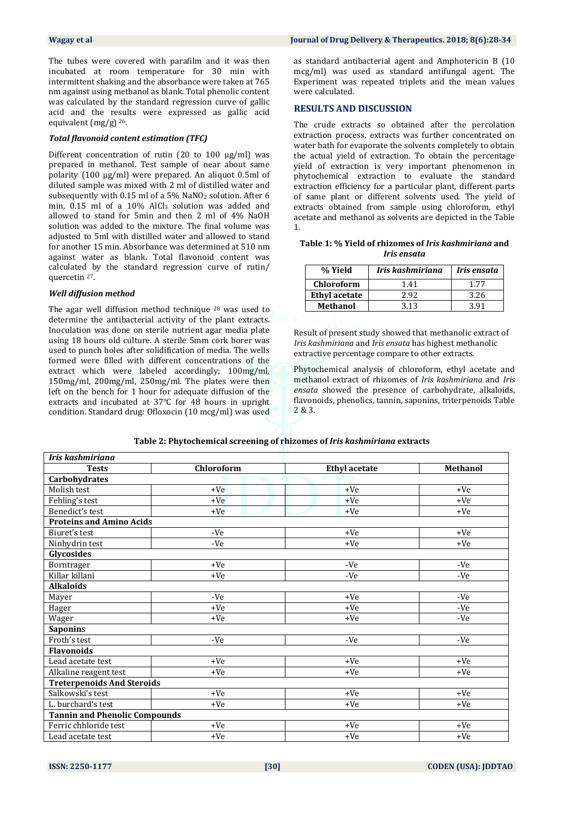The tubes were covered with parafilm and it was then incubated at room temperature for 30 min with intermittent shaking and the absorbance were taken at 765 nm against using methanol as blank. Total phenolic content was calculated by the standard regression curve of gallic acid and the results were expressed as gallic acid equivalent (mg/g) 26.

#### *Total flavonoid content estimation (TFC)*

Different concentration of rutin (20 to 100 μg/ml) was prepared in methanol. Test sample of near about same polarity (100 μg/ml) were prepared. An aliquot 0.5ml of diluted sample was mixed with 2 ml of distilled water and subsequently with 0.15 ml of a 5% NaNO<sup>2</sup> solution. After 6 min, 0.15 ml of a 10% AlCl<sub>3</sub> solution was added and allowed to stand for 5min and then 2 ml of 4% NaOH solution was added to the mixture. The final volume was adjusted to 5ml with distilled water and allowed to stand for another 15 min. Absorbance was determined at 510 nm against water as blank. Total flavonoid content was calculated by the standard regression curve of rutin/ quercetin 27.

#### *Well diffusion method*

The agar well diffusion method technique <sup>28</sup> was used to determine the antibacterial activity of the plant extracts. Inoculation was done on sterile nutrient agar media plate using 18 hours old culture. A sterile 5mm cork borer was used to punch holes after solidification of media. The wells formed were filled with different concentrations of the extract which were labeled accordingly; 100mg/ml, 150mg/ml, 200mg/ml, 250mg/ml. The plates were then left on the bench for 1 hour for adequate diffusion of the extracts and incubated at 37°C for 48 hours in upright condition. Standard drug: Ofloxocin (10 mcg/ml) was used as standard antibacterial agent and Amphotericin B (10 mcg/ml) was used as standard antifungal agent. The Experiment was repeated triplets and the mean values were calculated.

#### **RESULTS AND DISCUSSION**

The crude extracts so obtained after the percolation extraction process, extracts was further concentrated on water bath for evaporate the solvents completely to obtain the actual yield of extraction. To obtain the percentage yield of extraction is very important phenomenon in phytochemical extraction to evaluate the standard extraction efficiency for a particular plant, different parts of same plant or different solvents used. The yield of extracts obtained from sample using chloroform, ethyl acetate and methanol as solvents are depicted in the Table 1.

#### **Table 1: % Yield of rhizomes of** *Iris kashmiriana* **and**  *Iris ensata*

| % Yield              | Iris kashmiriana | Iris ensata |  |
|----------------------|------------------|-------------|--|
| <b>Chloroform</b>    | 1.41             | 177         |  |
| <b>Ethyl acetate</b> | 2.92             | 3.26        |  |
| Methanol             | 3.13             | 3 91        |  |
|                      |                  |             |  |

Result of present study showed that methanolic extract of *Iris kashmiriana* and *Iris ensata* has highest methanolic extractive percentage compare to other extracts.

Phytochemical analysis of chloroform, ethyl acetate and methanol extract of rhizomes of *Iris kashmiriana* and *Iris ensata* showed the presence of carbohydrate, alkaloids, flavonoids, phenolics, tannin, saponins, triterpenoids Table 2 & 3.

| Table 2: Phytochemical screening of rhizomes of <i>Iris kashmiriana</i> extracts |  |  |  |  |
|----------------------------------------------------------------------------------|--|--|--|--|
|----------------------------------------------------------------------------------|--|--|--|--|

| Iris kashmiriana                     |            |                      |                 |
|--------------------------------------|------------|----------------------|-----------------|
| <b>Tests</b>                         | Chloroform | <b>Ethyl</b> acetate | <b>Methanol</b> |
| Carbohydrates                        |            |                      |                 |
| Molish test                          | $+Ve$      | $+Ve$                | $+Ve$           |
| Fehling's test                       | $+Ve$      | $+Ve$                | $+Ve$           |
| Benedict's test                      | $+Ve$      | $+Ve$                | $+Ve$           |
| <b>Proteins and Amino Acids</b>      |            |                      |                 |
| Biuret's test                        | -Ve        | $+Ve$                | $+Ve$           |
| Ninhydrin test                       | -Ve        | $+Ve$                | $+Ve$           |
| Glycosides                           |            |                      |                 |
| Borntrager                           | $+Ve$      | -Ve                  | -Ve             |
| Killar killani                       | +Ve        | -Ve                  | -Ve             |
| <b>Alkaloids</b>                     |            |                      |                 |
| Mayer                                | -Ve        | $+Ve$                | $-Ve$           |
| Hager                                | $+Ve$      | $+Ve$                | -Ve             |
| Wager                                | +Ve        | $+Ve$                | -Ve             |
| <b>Saponins</b>                      |            |                      |                 |
| Froth's test                         | -Ve        | -Ve                  | -Ve             |
| <b>Flavonoids</b>                    |            |                      |                 |
| Lead acetate test                    | $+Ve$      | $+Ve$                | $+Ve$           |
| Alkaline reagent test                | +Ve        | $+Ve$                | $+Ve$           |
| <b>Treterpenoids And Steroids</b>    |            |                      |                 |
| Salkowski's test                     | $+Ve$      | $+Ve$                | $+Ve$           |
| L. burchard's test                   | $+Ve$      | $+Ve$                | $+Ve$           |
| <b>Tannin and Phenolic Compounds</b> |            |                      |                 |
| Ferric chhloride test                | $+Ve$      | $+Ve$                | $+Ve$           |
| Lead acetate test                    | +Ve        | $+Ve$                | $+Ve$           |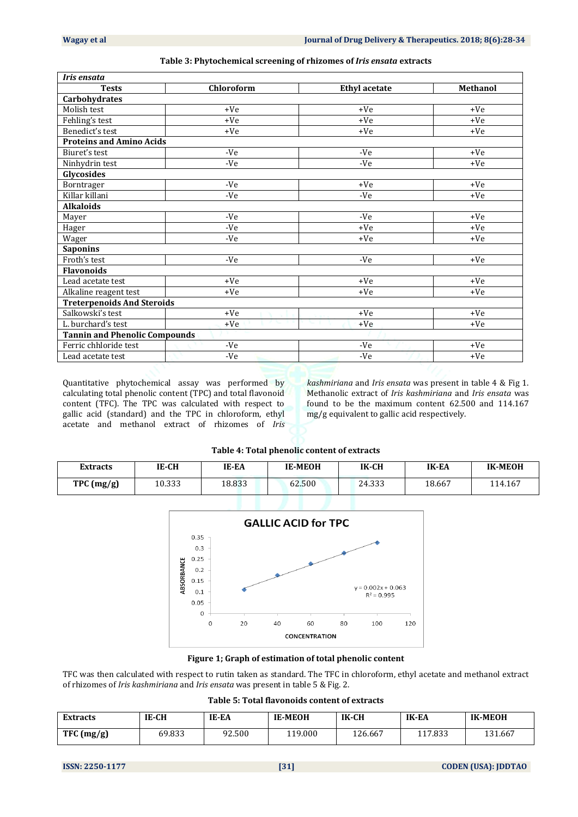| Iris ensata                          |             |                      |                 |
|--------------------------------------|-------------|----------------------|-----------------|
| <b>Tests</b>                         | Chloroform  | <b>Ethyl</b> acetate | <b>Methanol</b> |
| Carbohydrates                        |             |                      |                 |
| Molish test                          | $+Ve$       | $+Ve$                | $+Ve$           |
| Fehling's test                       | $+Ve$       | $+Ve$                | $+Ve$           |
| Benedict's test                      | +Ve         | $+Ve$                | $+Ve$           |
| <b>Proteins and Amino Acids</b>      |             |                      |                 |
| Biuret's test                        | -Ve         | -Ve                  | $+Ve$           |
| Ninhydrin test                       | -Ve         | -Ve                  | $+Ve$           |
| Glycosides                           |             |                      |                 |
| Borntrager                           | -Ve         | $+Ve$                | $+Ve$           |
| Killar killani                       | -Ve         | -Ve                  | $+Ve$           |
| <b>Alkaloids</b>                     |             |                      |                 |
| Mayer                                | -Ve         | $-Ve$                | $+Ve$           |
| Hager                                | -Ve         | $+Ve$                | $+Ve$           |
| Wager                                | -Ve         | +Ve                  | $+Ve$           |
| <b>Saponins</b>                      |             |                      |                 |
| Froth's test                         | -Ve         | -Ve                  | $+Ve$           |
| <b>Flavonoids</b>                    |             |                      |                 |
| Lead acetate test                    | $+Ve$       | $+Ve$                | $+Ve$           |
| Alkaline reagent test                | $+Ve$       | $+Ve$                | $+Ve$           |
| <b>Treterpenoids And Steroids</b>    |             |                      |                 |
| Salkowski's test                     | $+Ve$       | $+Ve$                | $+Ve$           |
| L. burchard's test                   | 天义<br>$+Ve$ | +Ve                  | $+Ve$           |
| <b>Tannin and Phenolic Compounds</b> |             |                      |                 |
| Ferric chhloride test                | $-Ve$       | -Ve                  | $+Ve$           |
| Lead acetate test                    | -Ve         | -Ve                  | $+Ve$           |

#### **Table 3: Phytochemical screening of rhizomes of** *Iris ensata* **extracts**

Quantitative phytochemical assay was performed by calculating total phenolic content (TPC) and total flavonoid content (TFC). The TPC was calculated with respect to gallic acid (standard) and the TPC in chloroform, ethyl acetate and methanol extract of rhizomes of *Iris*  *kashmiriana* and *Iris ensata* was present in table 4 & Fig 1. Methanolic extract of *Iris kashmiriana* and *Iris ensata* was found to be the maximum content 62.500 and 114.167 mg/g equivalent to gallic acid respectively.

#### **Table 4: Total phenolic content of extracts**

| <b>Extracts</b> | IE-CH  | IE-EA  | <b>IE-MEOH</b> | IK-CH  | <b>IK-EA</b> | <b>IK-MEOH</b> |
|-----------------|--------|--------|----------------|--------|--------------|----------------|
| TPC (mg/g)      | 10.333 | 18.833 | 62.500         | 24.333 | 18.667       | 114.167        |



**Figure 1; Graph of estimation of total phenolic content**

TFC was then calculated with respect to rutin taken as standard. The TFC in chloroform, ethyl acetate and methanol extract of rhizomes of *Iris kashmiriana* and *Iris ensata* was present in table 5 & Fig. 2.

| Table 5: Total flavonoids content of extracts |  |  |
|-----------------------------------------------|--|--|
|-----------------------------------------------|--|--|

| <b>Extracts</b> | IE-CH  | IE-EA  | <b>IE-MEOH</b> | IK-CH   | <b>IK-EA</b> | <b>IK-MEOH</b> |
|-----------------|--------|--------|----------------|---------|--------------|----------------|
| TFC (mg/g)      | 69.833 | 92.500 | 119.000        | 126.667 | 117.833      | 131.667        |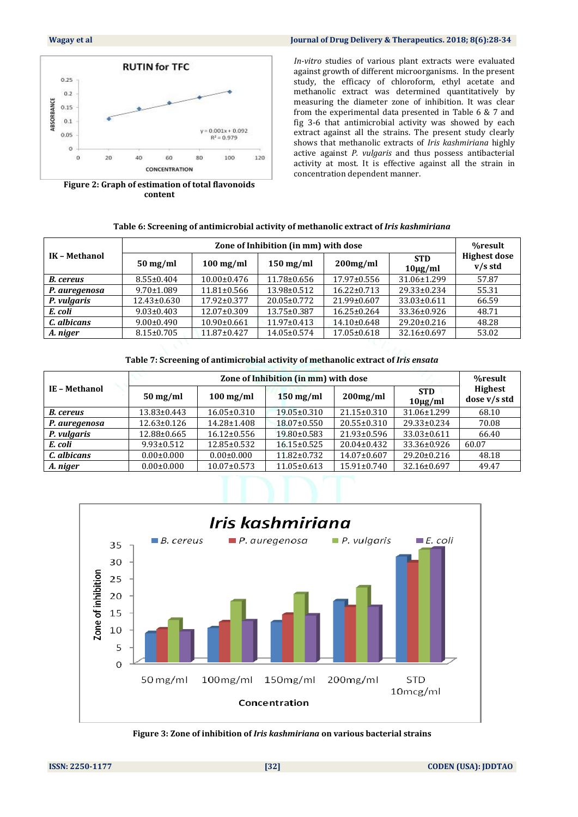

**Figure 2: Graph of estimation of total flavonoids content**

#### **Wagay et al Journal of Drug Delivery & Therapeutics. 2018; 8(6):28-34**

*In-vitro* studies of various plant extracts were evaluated against growth of different microorganisms. In the present study, the efficacy of chloroform, ethyl acetate and methanolic extract was determined quantitatively by measuring the diameter zone of inhibition. It was clear from the experimental data presented in Table 6 & 7 and fig 3-6 that antimicrobial activity was showed by each extract against all the strains. The present study clearly shows that methanolic extracts of *Iris kashmiriana* highly active against *P. vulgaris* and thus possess antibacterial activity at most. It is effective against all the strain in concentration dependent manner.

#### **Table 6: Screening of antimicrobial activity of methanolic extract of** *Iris kashmiriana*

|                    | %result           |                    |                   |                                      |                                  |
|--------------------|-------------------|--------------------|-------------------|--------------------------------------|----------------------------------|
| $50 \text{ mg/ml}$ | $100$ mg/ml       | $150$ mg/ml        | $200$ mg/ml       | <b>STD</b><br>$10\mu g/ml$           | <b>Highest dose</b><br>$v/s$ std |
| $8.55 \pm 0.404$   | $10.00 \pm 0.476$ | 11.78±0.656        | $17.97 \pm 0.556$ | 31.06±1.299                          | 57.87                            |
| $9.70 \pm 1.089$   | $11.81 \pm 0.566$ | 13.98±0.512        | $16.22 \pm 0.713$ | 29.33±0.234                          | 55.31                            |
| $12.43 \pm 0.630$  | $17.92 \pm 0.377$ | 20.05±0.772        | 21.99±0.607       | 33.03±0.611                          | 66.59                            |
| $9.03 \pm 0.403$   | 12.07±0.309       | 13.75±0.387        | $16.25 \pm 0.264$ | 33.36±0.926                          | 48.71                            |
| $9.00 \pm 0.490$   | $10.90 \pm 0.661$ | $-11.97 \pm 0.413$ | 14.10±0.648       | $29.20 \pm 0.216$                    | 48.28                            |
| $8.15 \pm 0.705$   | 11.87±0.427       | 14.05±0.574        | 17.05±0.618       | 32.16±0.697                          | 53.02                            |
|                    |                   |                    |                   | Zone of Inhibition (in mm) with dose |                                  |

**Table 7: Screening of antimicrobial activity of methanolic extract of** *Iris ensata*

|                    |                       | %result           |                   |                   |                            |                                |
|--------------------|-----------------------|-------------------|-------------------|-------------------|----------------------------|--------------------------------|
| <b>IE-Methanol</b> | $50 \,\mathrm{mg/ml}$ | $100$ mg/ml       | $150$ mg/ml       | $200$ mg/ml       | <b>STD</b><br>$10\mu g/ml$ | <b>Highest</b><br>dose v/s std |
| <b>B.</b> cereus   | 13.83±0.443           | $16.05 \pm 0.310$ | 19.05±0.310       | $21.15 \pm 0.310$ | 31.06±1.299                | 68.10                          |
| P. auregenosa      | $12.63 \pm 0.126$     | 14.28±1.408       | 18.07±0.550       | $20.55 \pm 0.310$ | 29.33±0.234                | 70.08                          |
| P. vulgaris        | 12.88±0.665           | $16.12 \pm 0.556$ | 19.80±0.583       | $21.93 \pm 0.596$ | 33.03±0.611                | 66.40                          |
| E. coli            | $9.93 \pm 0.512$      | 12.85±0.532       | $16.15 \pm 0.525$ | 20.04±0.432       | 33.36±0.926                | 60.07                          |
| C. albicans        | $0.00 \pm 0.000$      | $0.00 \pm 0.000$  | 11.82±0.732       | 14.07±0.607       | 29.20±0.216                | 48.18                          |
| A. niger           | $0.00 \pm 0.000$      | $10.07 \pm 0.573$ | 11.05±0.613       | 15.91±0.740       | 32.16±0.697                | 49.47                          |



**Figure 3: Zone of inhibition of** *Iris kashmiriana* **on various bacterial strains**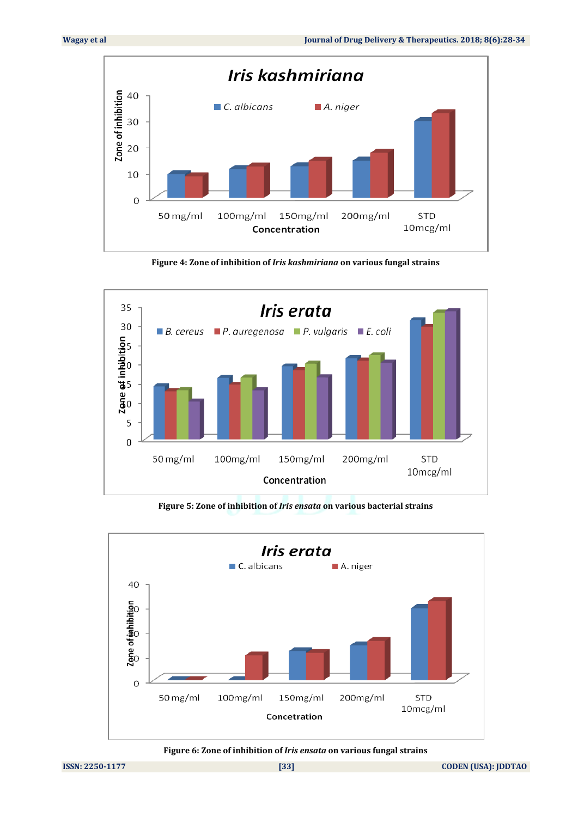

**Figure 4: Zone of inhibition of** *Iris kashmiriana* **on various fungal strains**



**Figure 5: Zone of inhibition of** *Iris ensata* **on various bacterial strains**



**Figure 6: Zone of inhibition of** *Iris ensata* **on various fungal strains**